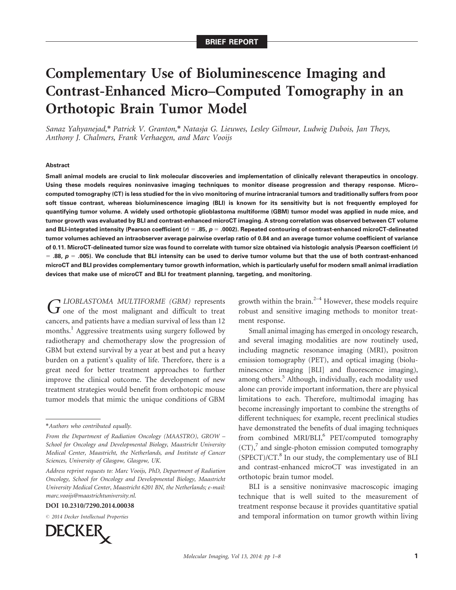# Complementary Use of Bioluminescence Imaging and Contrast-Enhanced Micro–Computed Tomography in an Orthotopic Brain Tumor Model

Sanaz Yahyanejad,\* Patrick V. Granton,\* Natasja G. Lieuwes, Lesley Gilmour, Ludwig Dubois, Jan Theys, Anthony J. Chalmers, Frank Verhaegen, and Marc Vooijs

#### Abstract

Small animal models are crucial to link molecular discoveries and implementation of clinically relevant therapeutics in oncology. Using these models requires noninvasive imaging techniques to monitor disease progression and therapy response. Micro– computed tomography (CT) is less studied for the in vivo monitoring of murine intracranial tumors and traditionally suffers from poor soft tissue contrast, whereas bioluminescence imaging (BLI) is known for its sensitivity but is not frequently employed for quantifying tumor volume. A widely used orthotopic glioblastoma multiforme (GBM) tumor model was applied in nude mice, and tumor growth was evaluated by BLI and contrast-enhanced microCT imaging. A strong correlation was observed between CT volume and BLI-integrated intensity (Pearson coefficient (r) = .85,  $p = .0002$ ). Repeated contouring of contrast-enhanced microCT-delineated tumor volumes achieved an intraobserver average pairwise overlap ratio of 0.84 and an average tumor volume coefficient of variance of 0.11. MicroCT-delineated tumor size was found to correlate with tumor size obtained via histologic analysis (Pearson coefficient (r)  $=$  .88,  $p = 0.05$ ). We conclude that BLI intensity can be used to derive tumor volume but that the use of both contrast-enhanced microCT and BLI provides complementary tumor growth information, which is particularly useful for modern small animal irradiation devices that make use of microCT and BLI for treatment planning, targeting, and monitoring.

GLIOBLASTOMA MULTIFORME (GBM) represents<br> **G** one of the most malignant and difficult to treat cancers, and patients have a median survival of less than 12 months.<sup>1</sup> Aggressive treatments using surgery followed by radiotherapy and chemotherapy slow the progression of GBM but extend survival by a year at best and put a heavy burden on a patient's quality of life. Therefore, there is a great need for better treatment approaches to further improve the clinical outcome. The development of new treatment strategies would benefit from orthotopic mouse tumor models that mimic the unique conditions of GBM

#### DOI 10.2310/7290.2014.00038

 $© 2014 Decker Intelligence$  Properties



growth within the brain. $2-4$  However, these models require robust and sensitive imaging methods to monitor treatment response.

Small animal imaging has emerged in oncology research, and several imaging modalities are now routinely used, including magnetic resonance imaging (MRI), positron emission tomography (PET), and optical imaging (bioluminescence imaging [BLI] and fluorescence imaging), among others.<sup>5</sup> Although, individually, each modality used alone can provide important information, there are physical limitations to each. Therefore, multimodal imaging has become increasingly important to combine the strengths of different techniques; for example, recent preclinical studies have demonstrated the benefits of dual imaging techniques from combined MRI/BLI,<sup>6</sup> PET/computed tomography  $(CT)$ ,<sup>7</sup> and single-photon emission computed tomography  $(SPECT)/CT<sup>8</sup>$  In our study, the complementary use of BLI and contrast-enhanced microCT was investigated in an orthotopic brain tumor model.

BLI is a sensitive noninvasive macroscopic imaging technique that is well suited to the measurement of treatment response because it provides quantitative spatial and temporal information on tumor growth within living

<sup>\*</sup>Authors who contributed equally.

From the Department of Radiation Oncology (MAASTRO), GROW – School for Oncology and Developmental Biology, Maastricht University Medical Center, Maastricht, the Netherlands, and Institute of Cancer Sciences, University of Glasgow, Glasgow, UK.

Address reprint requests to: Marc Vooijs, PhD, Department of Radiation Oncology, School for Oncology and Developmental Biology, Maastricht University Medical Center, Maastricht 6201 BN, the Netherlands; e-mail: marc.vooijs@maastrichtuniversity.nl.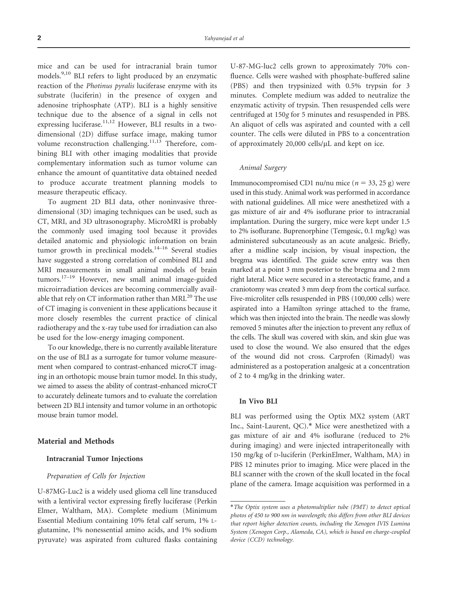mice and can be used for intracranial brain tumor models.9,10 BLI refers to light produced by an enzymatic reaction of the Photinus pyralis luciferase enzyme with its substrate (luciferin) in the presence of oxygen and adenosine triphosphate (ATP). BLI is a highly sensitive technique due to the absence of a signal in cells not expressing luciferase.<sup>11,12</sup> However, BLI results in a twodimensional (2D) diffuse surface image, making tumor volume reconstruction challenging.<sup>11,13</sup> Therefore, combining BLI with other imaging modalities that provide complementary information such as tumor volume can enhance the amount of quantitative data obtained needed to produce accurate treatment planning models to measure therapeutic efficacy.

To augment 2D BLI data, other noninvasive threedimensional (3D) imaging techniques can be used, such as CT, MRI, and 3D ultrasonography. MicroMRI is probably the commonly used imaging tool because it provides detailed anatomic and physiologic information on brain tumor growth in preclinical models.<sup>14-16</sup> Several studies have suggested a strong correlation of combined BLI and MRI measurements in small animal models of brain tumors.17–19 However, new small animal image-guided microirradiation devices are becoming commercially available that rely on CT information rather than MRI. $^{20}$  The use of CT imaging is convenient in these applications because it more closely resembles the current practice of clinical radiotherapy and the x-ray tube used for irradiation can also be used for the low-energy imaging component.

To our knowledge, there is no currently available literature on the use of BLI as a surrogate for tumor volume measurement when compared to contrast-enhanced microCT imaging in an orthotopic mouse brain tumor model. In this study, we aimed to assess the ability of contrast-enhanced microCT to accurately delineate tumors and to evaluate the correlation between 2D BLI intensity and tumor volume in an orthotopic mouse brain tumor model.

# Material and Methods

## Intracranial Tumor Injections

### Preparation of Cells for Injection

U-87MG-Luc2 is a widely used glioma cell line transduced with a lentiviral vector expressing firefly luciferase (Perkin Elmer, Waltham, MA). Complete medium (Minimum Essential Medium containing 10% fetal calf serum, 1% Lglutamine, 1% nonessential amino acids, and 1% sodium pyruvate) was aspirated from cultured flasks containing U-87-MG-luc2 cells grown to approximately 70% confluence. Cells were washed with phosphate-buffered saline (PBS) and then trypsinized with 0.5% trypsin for 3 minutes. Complete medium was added to neutralize the enzymatic activity of trypsin. Then resuspended cells were centrifuged at 150g for 5 minutes and resuspended in PBS. An aliquot of cells was aspirated and counted with a cell counter. The cells were diluted in PBS to a concentration of approximately  $20,000$  cells/ $\mu$ L and kept on ice.

## Animal Surgery

Immunocompromised CD1 nu/nu mice ( $n = 33, 25$  g) were used in this study. Animal work was performed in accordance with national guidelines. All mice were anesthetized with a gas mixture of air and 4% isoflurane prior to intracranial implantation. During the surgery, mice were kept under 1.5 to 2% isoflurane. Buprenorphine (Temgesic, 0.1 mg/kg) was administered subcutaneously as an acute analgesic. Briefly, after a midline scalp incision, by visual inspection, the bregma was identified. The guide screw entry was then marked at a point 3 mm posterior to the bregma and 2 mm right lateral. Mice were secured in a stereotactic frame, and a craniotomy was created 3 mm deep from the cortical surface. Five-microliter cells resuspended in PBS (100,000 cells) were aspirated into a Hamilton syringe attached to the frame, which was then injected into the brain. The needle was slowly removed 5 minutes after the injection to prevent any reflux of the cells. The skull was covered with skin, and skin glue was used to close the wound. We also ensured that the edges of the wound did not cross. Carprofen (Rimadyl) was administered as a postoperation analgesic at a concentration of 2 to 4 mg/kg in the drinking water.

### In Vivo BLI

BLI was performed using the Optix MX2 system (ART Inc., Saint-Laurent, QC).\* Mice were anesthetized with a gas mixture of air and 4% isoflurane (reduced to 2% during imaging) and were injected intraperitoneally with 150 mg/kg of D-luciferin (PerkinElmer, Waltham, MA) in PBS 12 minutes prior to imaging. Mice were placed in the BLI scanner with the crown of the skull located in the focal plane of the camera. Image acquisition was performed in a

<sup>\*</sup>The Optix system uses a photomultiplier tube (PMT) to detect optical photos of 450 to 900 nm in wavelength; this differs from other BLI devices that report higher detection counts, including the Xenogen IVIS Lumina System (Xenogen Corp., Alameda, CA), which is based on charge-coupled device (CCD) technology.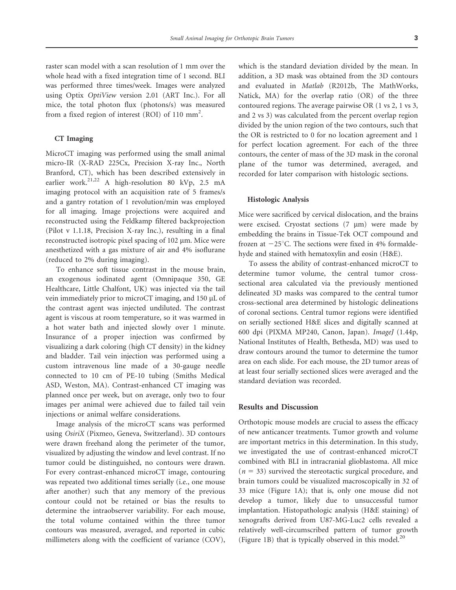raster scan model with a scan resolution of 1 mm over the whole head with a fixed integration time of 1 second. BLI was performed three times/week. Images were analyzed using Optix OptiView version 2.01 (ART Inc.). For all mice, the total photon flux (photons/s) was measured from a fixed region of interest (ROI) of 110 mm<sup>2</sup>.

# CT Imaging

MicroCT imaging was performed using the small animal micro-IR (X-RAD 225Cx, Precision X-ray Inc., North Branford, CT), which has been described extensively in earlier work.<sup>21,22</sup> A high-resolution 80 kVp, 2.5 mA imaging protocol with an acquisition rate of 5 frames/s and a gantry rotation of 1 revolution/min was employed for all imaging. Image projections were acquired and reconstructed using the Feldkamp filtered backprojection (Pilot v 1.1.18, Precision X-ray Inc.), resulting in a final reconstructed isotropic pixel spacing of 102 µm. Mice were anesthetized with a gas mixture of air and 4% isoflurane (reduced to 2% during imaging).

To enhance soft tissue contrast in the mouse brain, an exogenous iodinated agent (Omnipaque 350, GE Healthcare, Little Chalfont, UK) was injected via the tail vein immediately prior to microCT imaging, and 150 µL of the contrast agent was injected undiluted. The contrast agent is viscous at room temperature, so it was warmed in a hot water bath and injected slowly over 1 minute. Insurance of a proper injection was confirmed by visualizing a dark coloring (high CT density) in the kidney and bladder. Tail vein injection was performed using a custom intravenous line made of a 30-gauge needle connected to 10 cm of PE-10 tubing (Smiths Medical ASD, Weston, MA). Contrast-enhanced CT imaging was planned once per week, but on average, only two to four images per animal were achieved due to failed tail vein injections or animal welfare considerations.

Image analysis of the microCT scans was performed using OsiriX (Pixmeo, Geneva, Switzerland). 3D contours were drawn freehand along the perimeter of the tumor, visualized by adjusting the window and level contrast. If no tumor could be distinguished, no contours were drawn. For every contrast-enhanced microCT image, contouring was repeated two additional times serially (i.e., one mouse after another) such that any memory of the previous contour could not be retained or bias the results to determine the intraobserver variability. For each mouse, the total volume contained within the three tumor contours was measured, averaged, and reported in cubic millimeters along with the coefficient of variance (COV), which is the standard deviation divided by the mean. In addition, a 3D mask was obtained from the 3D contours and evaluated in Matlab (R2012b, The MathWorks, Natick, MA) for the overlap ratio (OR) of the three contoured regions. The average pairwise OR (1 vs 2, 1 vs 3, and 2 vs 3) was calculated from the percent overlap region divided by the union region of the two contours, such that the OR is restricted to 0 for no location agreement and 1 for perfect location agreement. For each of the three contours, the center of mass of the 3D mask in the coronal plane of the tumor was determined, averaged, and recorded for later comparison with histologic sections.

## Histologic Analysis

Mice were sacrificed by cervical dislocation, and the brains were excised. Cryostat sections  $(7 \mu m)$  were made by embedding the brains in Tissue-Tek OCT compound and frozen at  $-25^{\circ}$ C. The sections were fixed in 4% formaldehyde and stained with hematoxylin and eosin (H&E).

To assess the ability of contrast-enhanced microCT to determine tumor volume, the central tumor crosssectional area calculated via the previously mentioned delineated 3D masks was compared to the central tumor cross-sectional area determined by histologic delineations of coronal sections. Central tumor regions were identified on serially sectioned H&E slices and digitally scanned at 600 dpi (PIXMA MP240, Canon, Japan). ImageJ (1.44p, National Institutes of Health, Bethesda, MD) was used to draw contours around the tumor to determine the tumor area on each slide. For each mouse, the 2D tumor areas of at least four serially sectioned slices were averaged and the standard deviation was recorded.

## Results and Discussion

Orthotopic mouse models are crucial to assess the efficacy of new anticancer treatments. Tumor growth and volume are important metrics in this determination. In this study, we investigated the use of contrast-enhanced microCT combined with BLI in intracranial glioblastoma. All mice  $(n = 33)$  survived the stereotactic surgical procedure, and brain tumors could be visualized macroscopically in 32 of 33 mice (Figure 1A); that is, only one mouse did not develop a tumor, likely due to unsuccessful tumor implantation. Histopathologic analysis (H&E staining) of xenografts derived from U87-MG-Luc2 cells revealed a relatively well-circumscribed pattern of tumor growth (Figure 1B) that is typically observed in this model.<sup>20</sup>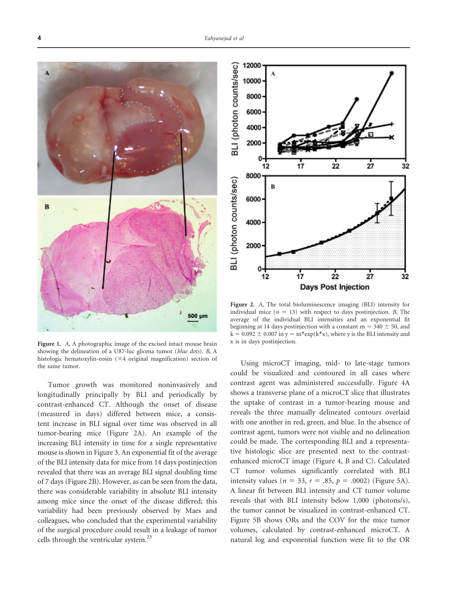

Figure 1. A, A photographic image of the excised intact mouse brain showing the delineation of a U87-luc glioma tumor (blue dots). B, A histologic hematoxylin-eosin (×4 original magnification) section of the same tumor.

Tumor growth was monitored noninvasively and longitudinally principally by BLI and periodically by contrast-enhanced CT. Although the onset of disease (measured in days) differed between mice, a consistent increase in BLI signal over time was observed in all tumor-bearing mice (Figure 2A). An example of the increasing BLI intensity in time for a single representative mouse is shown in Figure 3. An exponential fit of the average of the BLI intensity data for mice from 14 days postinjection revealed that there was an average BLI signal doubling time of 7 days (Figure 2B). However, as can be seen from the data, there was considerable variability in absolute BLI intensity among mice since the onset of the disease differed; this variability had been previously observed by Maes and colleagues, who concluded that the experimental variability of the surgical procedure could result in a leakage of tumor cells through the ventricular system.<sup>23</sup>



Figure 2. A, The total bioluminescence imaging (BLI) intensity for individual mice ( $n = 13$ ) with respect to days postinjection. B, The average of the individual BLI intensities and an exponential fit beginning at 14 days postinjection with a constant  $m = 340 \pm 50$ , and  $k = 0.092 \pm 0.007$  in y = m\*exp(k\*x), where y is the BLI intensity and x is in days postinjection.

Using microCT imaging, mid- to late-stage tumors could be visualized and contoured in all cases where contrast agent was administered successfully. Figure 4A shows a transverse plane of a microCT slice that illustrates the uptake of contrast in a tumor-bearing mouse and reveals the three manually delineated contours overlaid with one another in red, green, and blue. In the absence of contrast agent, tumors were not visible and no delineation could be made. The corresponding BLI and a representative histologic slice are presented next to the contrastenhanced microCT image (Figure 4, B and C). Calculated CT tumor volumes significantly correlated with BLI intensity values ( $n = 33$ ,  $r = .85$ ,  $p = .0002$ ) (Figure 5A). A linear fit between BLI intensity and CT tumor volume reveals that with BLI intensity below 1,000 (photons/s), the tumor cannot be visualized in contrast-enhanced CT. Figure 5B shows ORs and the COV for the mice tumor volumes, calculated by contrast-enhanced microCT. A natural log and exponential function were fit to the OR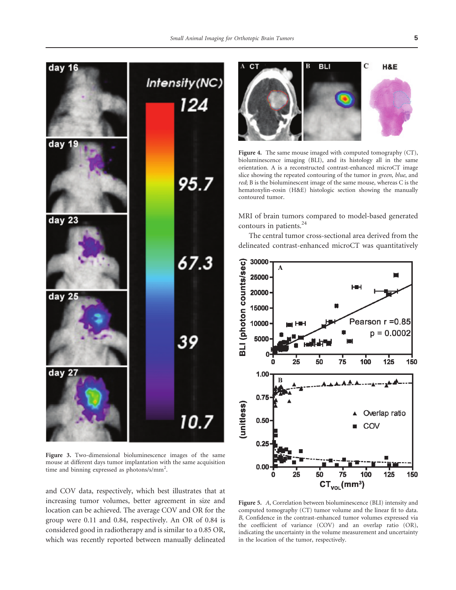150

150



mouse at different days tumor implantation with the same acquisition time and binning expressed as photons/s/mm<sup>2</sup>.

and COV data, respectively, which best illustrates that at increasing tumor volumes, better agreement in size and location can be achieved. The average COV and OR for the group were 0.11 and 0.84, respectively. An OR of 0.84 is considered good in radiotherapy and is similar to a 0.85 OR, which was recently reported between manually delineated

Figure 5. A, Correlation between bioluminescence (BLI) intensity and computed tomography (CT) tumor volume and the linear fit to data. B, Confidence in the contrast-enhanced tumor volumes expressed via the coefficient of variance (COV) and an overlap ratio (OR), indicating the uncertainty in the volume measurement and uncertainty in the location of the tumor, respectively.

50

75

 $CT_{\text{vol}}(mm^3)$ 

100

125

0.00

25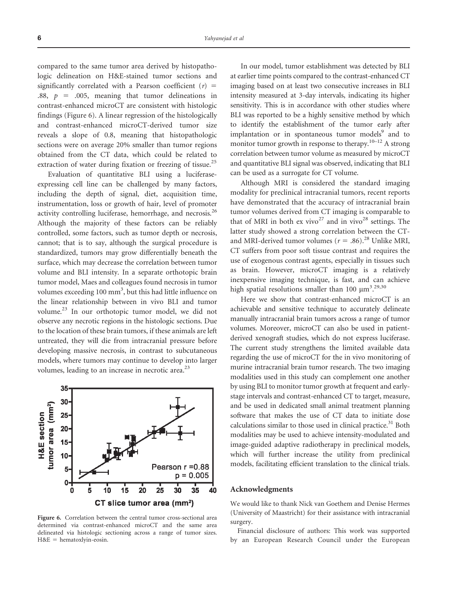compared to the same tumor area derived by histopathologic delineation on H&E-stained tumor sections and significantly correlated with a Pearson coefficient  $(r)$  = .88,  $p = .005$ , meaning that tumor delineations in contrast-enhanced microCT are consistent with histologic findings (Figure 6). A linear regression of the histologically and contrast-enhanced microCT-derived tumor size reveals a slope of 0.8, meaning that histopathologic sections were on average 20% smaller than tumor regions obtained from the CT data, which could be related to extraction of water during fixation or freezing of tissue.<sup>25</sup>

Evaluation of quantitative BLI using a luciferaseexpressing cell line can be challenged by many factors, including the depth of signal, diet, acquisition time, instrumentation, loss or growth of hair, level of promoter activity controlling luciferase, hemorrhage, and necrosis.<sup>26</sup> Although the majority of these factors can be reliably controlled, some factors, such as tumor depth or necrosis, cannot; that is to say, although the surgical procedure is standardized, tumors may grow differentially beneath the surface, which may decrease the correlation between tumor volume and BLI intensity. In a separate orthotopic brain tumor model, Maes and colleagues found necrosis in tumor volumes exceeding 100 mm<sup>3</sup>, but this had little influence on the linear relationship between in vivo BLI and tumor volume.23 In our orthotopic tumor model, we did not observe any necrotic regions in the histologic sections. Due to the location of these brain tumors, if these animals are left untreated, they will die from intracranial pressure before developing massive necrosis, in contrast to subcutaneous models, where tumors may continue to develop into larger volumes, leading to an increase in necrotic area.<sup>23</sup>



Figure 6. Correlation between the central tumor cross-sectional area determined via contrast-enhanced microCT and the same area delineated via histologic sectioning across a range of tumor sizes.  $H&E$  = hematoxlyin-eosin.

In our model, tumor establishment was detected by BLI at earlier time points compared to the contrast-enhanced CT imaging based on at least two consecutive increases in BLI intensity measured at 3-day intervals, indicating its higher sensitivity. This is in accordance with other studies where BLI was reported to be a highly sensitive method by which to identify the establishment of the tumor early after implantation or in spontaneous tumor models<sup>9</sup> and to monitor tumor growth in response to therapy.<sup>10–12</sup> A strong correlation between tumor volume as measured by microCT and quantitative BLI signal was observed, indicating that BLI can be used as a surrogate for CT volume.

Although MRI is considered the standard imaging modality for preclinical intracranial tumors, recent reports have demonstrated that the accuracy of intracranial brain tumor volumes derived from CT imaging is comparable to that of MRI in both ex vivo<sup>27</sup> and in vivo<sup>28</sup> settings. The latter study showed a strong correlation between the CTand MRI-derived tumor volumes ( $r = .86$ ).<sup>28</sup> Unlike MRI, CT suffers from poor soft tissue contrast and requires the use of exogenous contrast agents, especially in tissues such as brain. However, microCT imaging is a relatively inexpensive imaging technique, is fast, and can achieve high spatial resolutions smaller than 100  $\mu$ m<sup>3</sup>.<sup>29,30</sup>

Here we show that contrast-enhanced microCT is an achievable and sensitive technique to accurately delineate manually intracranial brain tumors across a range of tumor volumes. Moreover, microCT can also be used in patientderived xenograft studies, which do not express luciferase. The current study strengthens the limited available data regarding the use of microCT for the in vivo monitoring of murine intracranial brain tumor research. The two imaging modalities used in this study can complement one another by using BLI to monitor tumor growth at frequent and earlystage intervals and contrast-enhanced CT to target, measure, and be used in dedicated small animal treatment planning software that makes the use of CT data to initiate dose calculations similar to those used in clinical practice. $31$  Both modalities may be used to achieve intensity-modulated and image-guided adaptive radiotherapy in preclinical models, which will further increase the utility from preclinical models, facilitating efficient translation to the clinical trials.

#### Acknowledgments

We would like to thank Nick van Goethem and Denise Hermes (University of Maastricht) for their assistance with intracranial surgery.

Financial disclosure of authors: This work was supported by an European Research Council under the European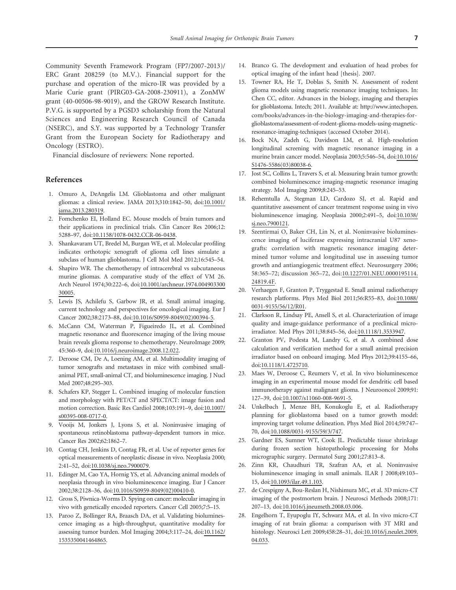Community Seventh Framework Program (FP7/2007-2013)/ ERC Grant 208259 (to M.V.). Financial support for the purchase and operation of the micro-IR was provided by a Marie Curie grant (PIRG03-GA-2008-230911), a ZonMW grant (40-00506-98-9019), and the GROW Research Institute. P.V.G. is supported by a PGSD3 scholarship from the Natural Sciences and Engineering Research Council of Canada (NSERC), and S.Y. was supported by a Technology Transfer Grant from the European Society for Radiotherapy and Oncology (ESTRO).

Financial disclosure of reviewers: None reported.

## References

- 1. Omur[o](http://dx.doi.org/10.1001%2Fjama.2013.280319) [A,](http://dx.doi.org/10.1001%2Fjama.2013.280319) [DeAngelis](http://dx.doi.org/10.1001%2Fjama.2013.280319) [L](http://dx.doi.org/10.1001%2Fjama.2013.280319)M. Glioblastoma and other malignant gliomas: a clinical review. JAMA 2013;310:1842–50, doi:10.1001/ jama.2013.280319.
- 2. Fomchenko EI, Holland EC. Mouse models of brain tumors and their applications in preclinical trials. Clin Cancer Res 2006;12: 5288–97, doi:10.1158/1078-0432.CCR-06-0438.
- 3. Shankavaram UT, Bredel M, Burgan WE, et al. Molecular profiling indicates orthotopic xenograft of glioma cell lines simulate a subclass of human glioblastoma. J Cel[l Mol Med 2012;16:545–54.](http://dx.doi.org/10.1001%2Farchneur.1974.00490330030005)
- 4. Shapi[ro WR.](http://dx.doi.org/10.1001%2Farchneur.1974.00490330030005) The chemotherapy of intracerebral vs subcutaneous murine gliomas. A comparative study of the effect of VM 26. Arch Neurol 1974;30:222–6, doi:10.1001/archneur.1974.004903300 30005.
- 5. Lewis JS, Achilefu S, Garbow JR, [et](http://dx.doi.org/10.1016%2FS0959-8049%2802%2900394-5) [al.](http://dx.doi.org/10.1016%2FS0959-8049%2802%2900394-5) [Small](http://dx.doi.org/10.1016%2FS0959-8049%2802%2900394-5) [animal](http://dx.doi.org/10.1016%2FS0959-8049%2802%2900394-5) [imaging.](http://dx.doi.org/10.1016%2FS0959-8049%2802%2900394-5) current technology and perspectives for oncological imaging. Eur J Cancer 2002;38:2173–88, doi:10.1016/S0959-8049(02)00394-5.
- 6. McCann CM, Wa[terman P, Figueiredo JL, et al.](http://dx.doi.org/10.1016%2Fj.neuroimage.2008.12.022) Combined magnetic resonance and fluorescence imaging of the living mouse brain reveals glioma response to chemotherapy. NeuroImage 2009; 45:360–9, doi:10.1016/j.neuroimage.2008.12.022.
- 7. Deroose CM, De A, Loening AM, et al. Multimodality imaging of tumor xenografts and metastases in mice with combined smallanimal PET, small-animal CT, and bioluminescence imaging. J Nucl Med 2007;48:295–303.
- 8. Schaf[ers KP, Stegger L. C](http://dx.doi.org/10.1007%2Fs00395-008-0717-0)ombined imaging of molecular functi[on](http://dx.doi.org/10.1007%2Fs00395-008-0717-0) and morphology with PET/CT and SPECT/CT: image fusion and motion correction. Basic Res Cardiol 2008;103:191–9, doi:10.1007/ s00395-008-0717-0.
- 9. Vooijs M, Jonkers J, Lyons S, et al. Noninvasive imaging of spontaneous retinoblastoma pathway-dependent tumors in mice. Cancer Res 2002;6[2:1862–7.](http://dx.doi.org/10.1038%2Fsj.neo.7900079)
- 10. Contag CH, Jenkins D, Contag FR, et al. [U](http://dx.doi.org/10.1038%2Fsj.neo.7900079)se of reporter genes for optical measurements of neoplastic disease in vivo. Neoplasia 2000; 2:41–52, doi:10.1038/sj.neo.[7900079.](http://dx.doi.org/10.1016%2FS0959-8049%2802%2900410-0)
- 11. Edinger M, Cao YA, Hornig YS, et al. Advancing animal models of neoplasia through in vivo bioluminescence imaging. Eur J Cancer 2002;38:2128–36, doi:10.1016/S0959-8049(02)00410-0.
- 12. Gross S, Piwnica-Worms D. Spying on cancer: molecular imaging in vivo with genetically encoded reporters. Cancer Cell 2005;7:5–15[.](http://dx.doi.org/10.1162%2F1535350041464865)
- 13. Paroo [Z, Bollinger RA, B](http://dx.doi.org/10.1162%2F1535350041464865)raasch DA, et al. Validating bioluminescence imaging as a high-throughput, quantitative modality for assessing tumor burden. Mol Imaging 2004;3:117–24, doi:10.1162/ 1535350041464865.
- 14. Branco G. The development and evaluation of head probes for optical imaging of the infant head [thesis]. 2007.
- 15. Towner RA, He T, Doblas S, Smith N. Asses[sment of rodent](http://www.intechopen.com/books/advances-in-the-biology-imaging-and-therapies-for-glioblastoma/assessment-of-rodent-glioma-models-using-magnetic-resonance-imaging-techniques) gliom[a models using magnetic resonance imaging techniques. In:](http://www.intechopen.com/books/advances-in-the-biology-imaging-and-therapies-for-glioblastoma/assessment-of-rodent-glioma-models-using-magnetic-resonance-imaging-techniques) Chen [CC, editor. Advances in the biology, imaging and therapies](http://www.intechopen.com/books/advances-in-the-biology-imaging-and-therapies-for-glioblastoma/assessment-of-rodent-glioma-models-using-magnetic-resonance-imaging-techniques) for gli[oblastoma. Intech; 2011. Availa](http://www.intechopen.com/books/advances-in-the-biology-imaging-and-therapies-for-glioblastoma/assessment-of-rodent-glioma-models-using-magnetic-resonance-imaging-techniques)ble at: http://www.intechopen. com/books/advances-in-the-biology-imaging-and-therapies-forglioblastoma/assessment-of-rodent-glioma-models-using-magneticresonance-imaging-techniques (accessed October 2014).
- 16. Bock [NA, Zadeh G, David](http://dx.doi.org/10.1016%2FS1476-5586%2803%2980038-6)son LM, et al. High-resoluti[on](http://dx.doi.org/10.1016%2FS1476-5586%2803%2980038-6) longitudinal screening with magnetic resonance imaging in a murine brain cancer model. Neoplasia 2003;5:546–54, doi:10.1016/ S1476-5586(03)80038-6.
- 17. Jost SC, Collins L, Travers S, et al. Measuring brain tumor growth: combined bioluminescence imaging-magnetic resonance imaging strategy. Mol Imaging 2009;8:245–53.
- 18. Rehe[mtulla A, Stegm](http://dx.doi.org/10.1038%2Fsj.neo.7900121)an LD, Cardozo SJ, et al. Rapid a[nd](http://dx.doi.org/10.1038%2Fsj.neo.7900121) quantitative assessment of cancer treatment response using in vivo bioluminescence imaging. Neoplasia 2000;2:491–5, doi:10.1038/ sj.neo.7900121.
- 19. Szentirmai O, Baker CH, Lin N, et al. Noninvasive bioluminescence imaging of luciferase expressing intracranial U87 xenografts: correlation with magnetic res[onance imaging deter](http://dx.doi.org/10.1227%2F01.NEU.0000195114.24819.4F)mine[d tumor v](http://dx.doi.org/10.1227%2F01.NEU.0000195114.24819.4F)olume and longitudinal use in assessing tumor growth and antiangiogenic treatment effect. Neurosurgery 2006; 58:365–72; discussion 365–72, doi:10.1227/01.NEU.00001951[14.](http://dx.doi.org/10.1088%2F0031-9155%2F56%2F12%2FR01) 24819.4F.
- 20. Verha[egen](http://dx.doi.org/10.1088%2F0031-9155%2F56%2F12%2FR01) [F,](http://dx.doi.org/10.1088%2F0031-9155%2F56%2F12%2FR01) [Granton](http://dx.doi.org/10.1088%2F0031-9155%2F56%2F12%2FR01) [P,](http://dx.doi.org/10.1088%2F0031-9155%2F56%2F12%2FR01) [Try](http://dx.doi.org/10.1088%2F0031-9155%2F56%2F12%2FR01)ggestad E. Small animal radiotherapy research platforms. Phys Med Biol 2011;56:R55–83, doi:10.1088/ 0031-9155/56/12/R01.
- 21. Clarkson R, Lindsay PE, Ansell S, et al. Charact[erization](http://dx.doi.org/10.1118%2F1.3533947) [of](http://dx.doi.org/10.1118%2F1.3533947) [image](http://dx.doi.org/10.1118%2F1.3533947) quality and image-guidance performance of a preclinical microirradiator. Med Phys 2011;38:845–56, doi:10.1118/1.3533947.
- 22. Granton [PV, Podesta M, L](http://dx.doi.org/10.1118%2F1.4725710)andry G, et al. A combined dose calculation and verification method for a small animal precision irradiator based on onboard imaging. Med Phys 2012;39:4155–66, doi:10.1118/1.4725710.
- 23. Maes W, Deroose [C, Reumers V, et al. In vi](http://dx.doi.org/10.1007%2Fs11060-008-9691-5)vo bioluminescence imaging in an experimental mouse model for dendritic cell based immunotherapy against malignant glioma. J Neurooncol 2009;91: 127–39, doi:10.1007/s11060-008-9691-5.
- 24. Unkelbach J[, Menze BH, Konukoglu E](http://dx.doi.org/10.1088%2F0031-9155%2F59%2F3%2F747), et al. Radiotherapy planning for glioblastoma based on a tumor growth model: improving target volume delineation. Phys Med Biol 2014;59:747– 70, doi:10.1088/0031-9155/59/3/747.
- 25. Gardner ES, Sumner WT, Cook JL. Predictable tissue shrinkage during frozen section histopathologic processing for Mohs micrographic [surgery. Dermatol Su](http://dx.doi.org/10.1093%2Filar.49.1.103)rg 2001;27:813–8.
- 26. Zinn KR, Chaudhuri TR, Szafran AA, et al. Noninvasive bioluminescence imaging in small animals. ILAR J 2008;49:103– 15, doi:10.1093/ila[r.49.1.103.](http://dx.doi.org/10.1016%2Fj.jneumeth.2008.03.006)
- 27. de Crespigny A, Bou-Reslan H, Nishimura MC, et [a](http://dx.doi.org/10.1016%2Fj.jneumeth.2008.03.006)l. 3D micro-CT imaging of the postmortem brain. J Neurosci Methods 2008;171: 207–13, doi:10.1016/j.jneumeth.2008.03.006.
- 28. Engel[horn T,](http://dx.doi.org/10.1016%2Fj.neulet.2009.04.033) Eyupoglu IY, Schwarz MA, et al. In [vivo](http://dx.doi.org/10.1016%2Fj.neulet.2009.04.033) [micro-CT](http://dx.doi.org/10.1016%2Fj.neulet.2009.04.033) imaging of rat brain glioma: a comparison with 3T MRI and histology. Neurosci Lett 2009;458:28–31, doi:10.1016/j.neulet.2009. 04.033.